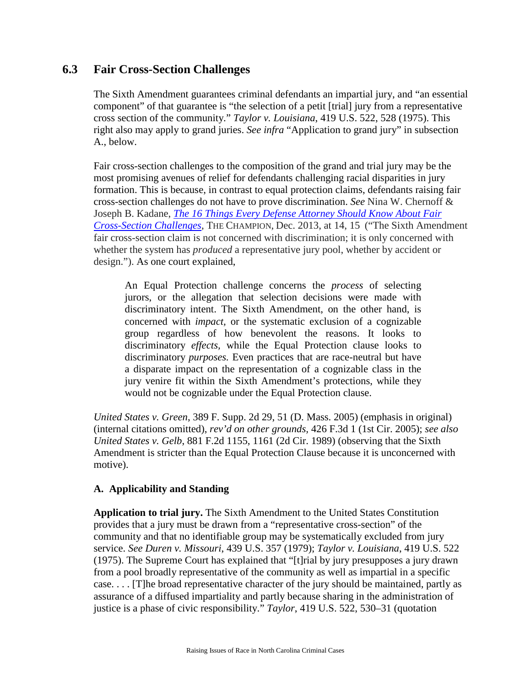# **6.3 Fair Cross-Section Challenges**

The Sixth Amendment guarantees criminal defendants an impartial jury, and "an essential component" of that guarantee is "the selection of a petit [trial] jury from a representative cross section of the community." *Taylor v. Louisiana*, 419 U.S. 522, 528 (1975). This right also may apply to grand juries. *See infra* "Application to grand jury" in subsection A., below.

Fair cross-section challenges to the composition of the grand and trial jury may be the most promising avenues of relief for defendants challenging racial disparities in jury formation. This is because, in contrast to equal protection claims, defendants raising fair cross-section challenges do not have to prove discrimination. *See* Nina W. Chernoff & Joseph B. Kadane, *[The 16 Things Every Defense Attorney Should Know About Fair](http://www1.cuny.edu/mu/law/files/2014/01/chernoff-kadane_december_2013_16things.pdf)  [Cross-Section Challenges](http://www1.cuny.edu/mu/law/files/2014/01/chernoff-kadane_december_2013_16things.pdf)*, THE CHAMPION, Dec. 2013, at 14, 15 ("The Sixth Amendment fair cross-section claim is not concerned with discrimination; it is only concerned with whether the system has *produced* a representative jury pool, whether by accident or design."). As one court explained,

An Equal Protection challenge concerns the *process* of selecting jurors, or the allegation that selection decisions were made with discriminatory intent. The Sixth Amendment, on the other hand, is concerned with *impact,* or the systematic exclusion of a cognizable group regardless of how benevolent the reasons. It looks to discriminatory *effects,* while the Equal Protection clause looks to discriminatory *purposes.* Even practices that are race-neutral but have a disparate impact on the representation of a cognizable class in the jury venire fit within the Sixth Amendment's protections, while they would not be cognizable under the Equal Protection clause.

*United States v. Green*, 389 F. Supp. 2d 29, 51 (D. Mass. 2005) (emphasis in original) (internal citations omitted), *rev'd on other grounds,* 426 F.3d 1 (1st Cir. 2005); *see also United States v. Gelb*, 881 F.2d 1155, 1161 (2d Cir. 1989) (observing that the Sixth Amendment is stricter than the Equal Protection Clause because it is unconcerned with motive).

### **A. Applicability and Standing**

**Application to trial jury.** The Sixth Amendment to the United States Constitution provides that a jury must be drawn from a "representative cross-section" of the community and that no identifiable group may be systematically excluded from jury service. *See Duren v. Missouri*, 439 U.S. 357 (1979); *Taylor v. Louisiana*, 419 U.S. 522 (1975). The Supreme Court has explained that "[t]rial by jury presupposes a jury drawn from a pool broadly representative of the community as well as impartial in a specific case. . . . [T]he broad representative character of the jury should be maintained, partly as assurance of a diffused impartiality and partly because sharing in the administration of justice is a phase of civic responsibility." *Taylor*, 419 U.S. 522, 530–31 (quotation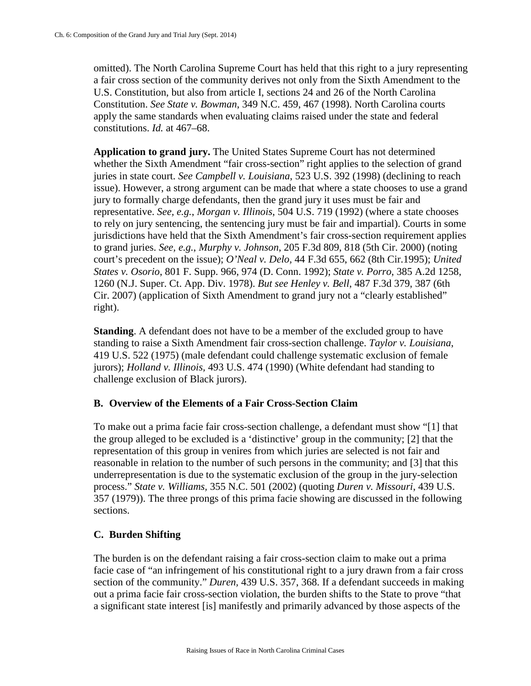omitted). The North Carolina Supreme Court has held that this right to a jury representing a fair cross section of the community derives not only from the Sixth Amendment to the U.S. Constitution, but also from article I, sections 24 and 26 of the North Carolina Constitution. *See State v. Bowman*, 349 N.C. 459, 467 (1998). North Carolina courts apply the same standards when evaluating claims raised under the state and federal constitutions. *Id.* at 467–68.

**Application to grand jury.** The United States Supreme Court has not determined whether the Sixth Amendment "fair cross-section" right applies to the selection of grand juries in state court. *See Campbell v. Louisiana*, 523 U.S. 392 (1998) (declining to reach issue). However, a strong argument can be made that where a state chooses to use a grand jury to formally charge defendants, then the grand jury it uses must be fair and representative. *See, e.g.*, *Morgan v. Illinois*, 504 U.S. 719 (1992) (where a state chooses to rely on jury sentencing, the sentencing jury must be fair and impartial). Courts in some jurisdictions have held that the Sixth Amendment's fair cross-section requirement applies to grand juries. *See, e.g.*, *Murphy v. Johnson*, 205 F.3d 809, 818 (5th Cir. 2000) (noting court's precedent on the issue); *O'Neal v. Delo,* 44 F.3d 655, 662 (8th Cir.1995); *United States v. Osorio*, 801 F. Supp. 966, 974 (D. Conn. 1992); *State v. Porro*, 385 A.2d 1258, 1260 (N.J. Super. Ct. App. Div. 1978). *But see Henley v. Bell*, 487 F.3d 379, 387 (6th Cir. 2007) (application of Sixth Amendment to grand jury not a "clearly established" right).

**Standing**. A defendant does not have to be a member of the excluded group to have standing to raise a Sixth Amendment fair cross-section challenge. *Taylor v. Louisiana*, 419 U.S. 522 (1975) (male defendant could challenge systematic exclusion of female jurors); *Holland v. Illinois,* 493 U.S. 474 (1990) (White defendant had standing to challenge exclusion of Black jurors).

## **B. Overview of the Elements of a Fair Cross-Section Claim**

To make out a prima facie fair cross-section challenge, a defendant must show "[1] that the group alleged to be excluded is a 'distinctive' group in the community; [2] that the representation of this group in venires from which juries are selected is not fair and reasonable in relation to the number of such persons in the community; and [3] that this underrepresentation is due to the systematic exclusion of the group in the jury-selection process." *State v. Williams,* 355 N.C. 501 (2002) (quoting *Duren v. Missouri*, 439 U.S. 357 (1979)). The three prongs of this prima facie showing are discussed in the following sections.

## **C. Burden Shifting**

The burden is on the defendant raising a fair cross-section claim to make out a prima facie case of "an infringement of his constitutional right to a jury drawn from a fair cross section of the community." *Duren,* 439 U.S. 357, 368. If a defendant succeeds in making out a prima facie fair cross-section violation, the burden shifts to the State to prove "that a significant state interest [is] manifestly and primarily advanced by those aspects of the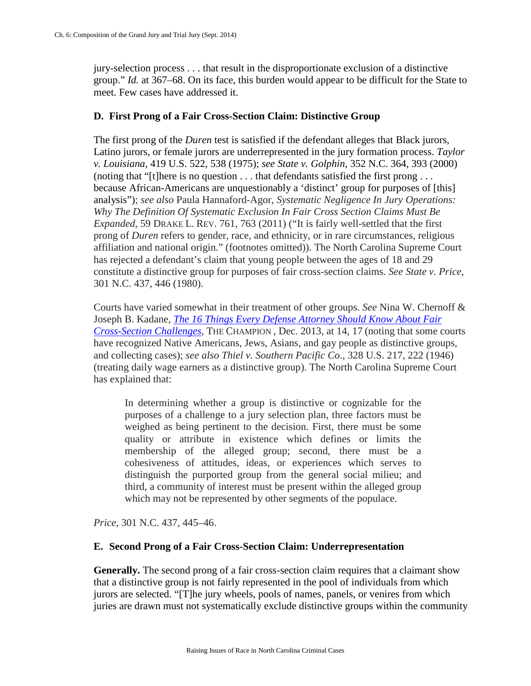jury-selection process . . . that result in the disproportionate exclusion of a distinctive group." *Id.* at 367–68. On its face, this burden would appear to be difficult for the State to meet. Few cases have addressed it.

### **D. First Prong of a Fair Cross-Section Claim: Distinctive Group**

The first prong of the *Duren* test is satisfied if the defendant alleges that Black jurors, Latino jurors, or female jurors are underrepresented in the jury formation process. *Taylor v. Louisiana*, 419 U.S. 522, 538 (1975); *see State v. Golphin,* 352 N.C. 364, 393 (2000) (noting that "[t]here is no question . . . that defendants satisfied the first prong . . . because African-Americans are unquestionably a 'distinct' group for purposes of [this] analysis"); *see also* Paula Hannaford-Agor, *Systematic Negligence In Jury Operations: Why The Definition Of Systematic Exclusion In Fair Cross Section Claims Must Be Expanded*, 59 DRAKE L. REV. 761, 763 (2011) ("It is fairly well-settled that the first prong of *Duren* refers to gender, race, and ethnicity, or in rare circumstances, religious affiliation and national origin." (footnotes omitted)). The North Carolina Supreme Court has rejected a defendant's claim that young people between the ages of 18 and 29 constitute a distinctive group for purposes of fair cross-section claims. *See State v. Price*, 301 N.C. 437, 446 (1980).

Courts have varied somewhat in their treatment of other groups. *See* Nina W. Chernoff & Joseph B. Kadane, *[The 16 Things Every Defense Attorney Should Know About Fair](http://www1.cuny.edu/mu/law/files/2014/01/chernoff-kadane_december_2013_16things.pdf)  [Cross-Section Challenges](http://www1.cuny.edu/mu/law/files/2014/01/chernoff-kadane_december_2013_16things.pdf)*, THE CHAMPION , Dec. 2013, at 14, 17 (noting that some courts have recognized Native Americans, Jews, Asians, and gay people as distinctive groups, and collecting cases); *see also Thiel v. Southern Pacific Co*., 328 U.S. 217, 222 (1946) (treating daily wage earners as a distinctive group). The North Carolina Supreme Court has explained that:

In determining whether a group is distinctive or cognizable for the purposes of a challenge to a jury selection plan, three factors must be weighed as being pertinent to the decision. First, there must be some quality or attribute in existence which defines or limits the membership of the alleged group; second, there must be a cohesiveness of attitudes, ideas, or experiences which serves to distinguish the purported group from the general social milieu; and third, a community of interest must be present within the alleged group which may not be represented by other segments of the populace.

*Price*, 301 N.C. 437, 445–46.

### **E. Second Prong of a Fair Cross-Section Claim: Underrepresentation**

**Generally.** The second prong of a fair cross-section claim requires that a claimant show that a distinctive group is not fairly represented in the pool of individuals from which jurors are selected. "[T]he jury wheels, pools of names, panels, or venires from which juries are drawn must not systematically exclude distinctive groups within the community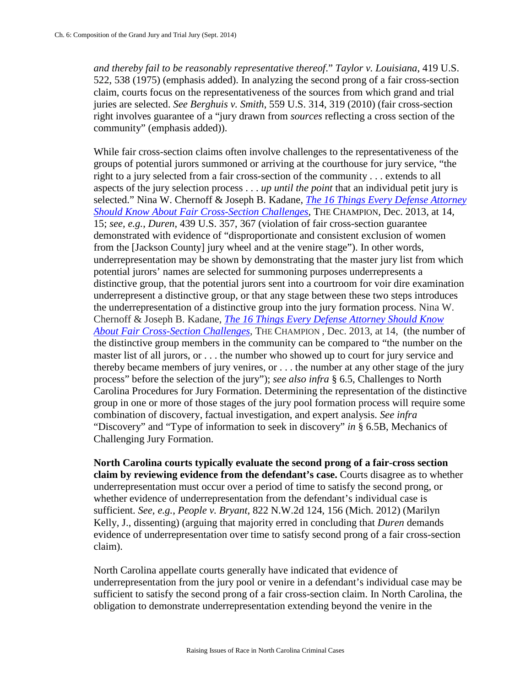*and thereby fail to be reasonably representative thereof*." *Taylor v. Louisiana*, 419 U.S. 522, 538 (1975) (emphasis added). In analyzing the second prong of a fair cross-section claim, courts focus on the representativeness of the sources from which grand and trial juries are selected. *See Berghuis v. Smith*, 559 U.S. 314, 319 (2010) (fair cross-section right involves guarantee of a "jury drawn from *sources* reflecting a cross section of the community" (emphasis added)).

While fair cross-section claims often involve challenges to the representativeness of the groups of potential jurors summoned or arriving at the courthouse for jury service, "the right to a jury selected from a fair cross-section of the community . . . extends to all aspects of the jury selection process . . . *up until the point* that an individual petit jury is selected." Nina W. Chernoff & Joseph B. Kadane, *[The 16 Things Every Defense Attorney](http://www1.cuny.edu/mu/law/files/2014/01/chernoff-kadane_december_2013_16things.pdf)  [Should Know About Fair Cross-Section Challenges](http://www1.cuny.edu/mu/law/files/2014/01/chernoff-kadane_december_2013_16things.pdf)*, THE CHAMPION, Dec. 2013, at 14, 15; *see, e.g.*, *Duren*, 439 U.S. 357, 367 (violation of fair cross-section guarantee demonstrated with evidence of "disproportionate and consistent exclusion of women from the [Jackson County] jury wheel and at the venire stage"). In other words, underrepresentation may be shown by demonstrating that the master jury list from which potential jurors' names are selected for summoning purposes underrepresents a distinctive group, that the potential jurors sent into a courtroom for voir dire examination underrepresent a distinctive group, or that any stage between these two steps introduces the underrepresentation of a distinctive group into the jury formation process. Nina W. Chernoff & Joseph B. Kadane, *[The 16 Things Every Defense Attorney Should Know](http://www1.cuny.edu/mu/law/files/2014/01/chernoff-kadane_december_2013_16things.pdf)  [About Fair Cross-Section Challenges](http://www1.cuny.edu/mu/law/files/2014/01/chernoff-kadane_december_2013_16things.pdf)*, THE CHAMPION , Dec. 2013, at 14, (the number of the distinctive group members in the community can be compared to "the number on the master list of all jurors, or . . . the number who showed up to court for jury service and thereby became members of jury venires, or . . . the number at any other stage of the jury process" before the selection of the jury"); *see also infra* § 6.5, Challenges to North Carolina Procedures for Jury Formation. Determining the representation of the distinctive group in one or more of those stages of the jury pool formation process will require some combination of discovery, factual investigation, and expert analysis. *See infra*  "Discovery" and "Type of information to seek in discovery" *in* § 6.5B, Mechanics of Challenging Jury Formation.

**North Carolina courts typically evaluate the second prong of a fair-cross section claim by reviewing evidence from the defendant's case.** Courts disagree as to whether underrepresentation must occur over a period of time to satisfy the second prong, or whether evidence of underrepresentation from the defendant's individual case is sufficient. *See, e.g.*, *People v. Bryant*, 822 N.W.2d 124, 156 (Mich. 2012) (Marilyn Kelly, J., dissenting) (arguing that majority erred in concluding that *Duren* demands evidence of underrepresentation over time to satisfy second prong of a fair cross-section claim).

North Carolina appellate courts generally have indicated that evidence of underrepresentation from the jury pool or venire in a defendant's individual case may be sufficient to satisfy the second prong of a fair cross-section claim. In North Carolina, the obligation to demonstrate underrepresentation extending beyond the venire in the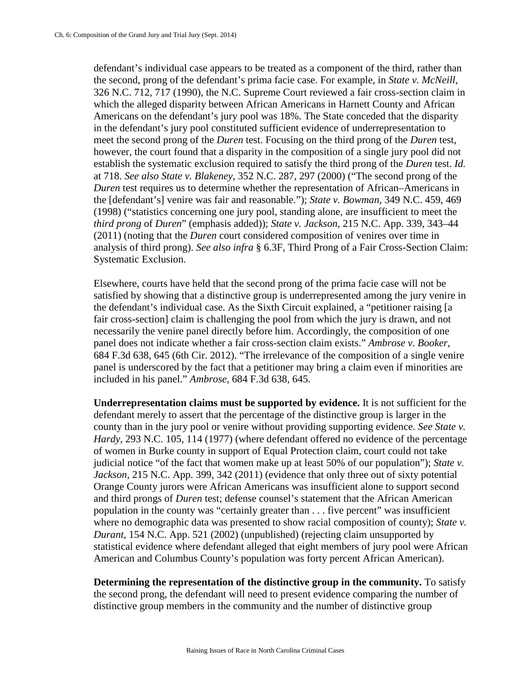defendant's individual case appears to be treated as a component of the third, rather than the second, prong of the defendant's prima facie case. For example, in *State v. McNeill*, 326 N.C. 712, 717 (1990), the N.C. Supreme Court reviewed a fair cross-section claim in which the alleged disparity between African Americans in Harnett County and African Americans on the defendant's jury pool was 18%. The State conceded that the disparity in the defendant's jury pool constituted sufficient evidence of underrepresentation to meet the second prong of the *Duren* test. Focusing on the third prong of the *Duren* test, however, the court found that a disparity in the composition of a single jury pool did not establish the systematic exclusion required to satisfy the third prong of the *Duren* test. *Id.*  at 718. *See also State v. Blakeney*, 352 N.C. 287, 297 (2000) ("The second prong of the *Duren* test requires us to determine whether the representation of African–Americans in the [defendant's] venire was fair and reasonable."); *State v. Bowman*, 349 N.C. 459, 469 (1998) ("statistics concerning one jury pool, standing alone, are insufficient to meet the *third prong* of *Duren*" (emphasis added)); *State v. Jackson,* 215 N.C. App. 339, 343–44 (2011) (noting that the *Duren* court considered composition of venires over time in analysis of third prong). *See also infra* § 6.3F, Third Prong of a Fair Cross-Section Claim: Systematic Exclusion.

Elsewhere, courts have held that the second prong of the prima facie case will not be satisfied by showing that a distinctive group is underrepresented among the jury venire in the defendant's individual case. As the Sixth Circuit explained, a "petitioner raising [a fair cross-section] claim is challenging the pool from which the jury is drawn, and not necessarily the venire panel directly before him. Accordingly, the composition of one panel does not indicate whether a fair cross-section claim exists." *Ambrose v. Booker*, 684 F.3d 638, 645 (6th Cir. 2012). "The irrelevance of the composition of a single venire panel is underscored by the fact that a petitioner may bring a claim even if minorities are included in his panel." *Ambrose,* 684 F.3d 638, 645.

**Underrepresentation claims must be supported by evidence.** It is not sufficient for the defendant merely to assert that the percentage of the distinctive group is larger in the county than in the jury pool or venire without providing supporting evidence. *See State v. Hardy*, 293 N.C. 105, 114 (1977) (where defendant offered no evidence of the percentage of women in Burke county in support of Equal Protection claim, court could not take judicial notice "of the fact that women make up at least 50% of our population"); *State v. Jackson*, 215 N.C. App. 399, 342 (2011) (evidence that only three out of sixty potential Orange County jurors were African Americans was insufficient alone to support second and third prongs of *Duren* test; defense counsel's statement that the African American population in the county was "certainly greater than . . . five percent" was insufficient where no demographic data was presented to show racial composition of county); *State v*. *Durant*, 154 N.C. App. 521 (2002) (unpublished) (rejecting claim unsupported by statistical evidence where defendant alleged that eight members of jury pool were African American and Columbus County's population was forty percent African American).

**Determining the representation of the distinctive group in the community.** To satisfy the second prong, the defendant will need to present evidence comparing the number of distinctive group members in the community and the number of distinctive group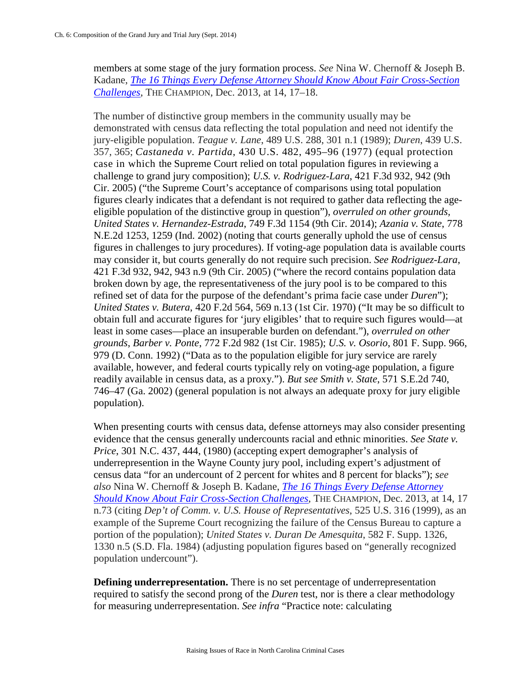members at some stage of the jury formation process. *See* Nina W. Chernoff & Joseph B. Kadane, *[The 16 Things Every Defense Attorney Should Know About Fair Cross-Section](http://www1.cuny.edu/mu/law/files/2014/01/chernoff-kadane_december_2013_16things.pdf)  [Challenges](http://www1.cuny.edu/mu/law/files/2014/01/chernoff-kadane_december_2013_16things.pdf)*, THE CHAMPION, Dec. 2013, at 14, 17–18.

The number of distinctive group members in the community usually may be demonstrated with census data reflecting the total population and need not identify the jury-eligible population. *Teague v. Lane*, 489 U.S. 288, 301 n.1 (1989); *Duren*, 439 U.S. 357, 365; *Castaneda v. Partida*, 430 U.S. 482, 495–96 (1977) (equal protection case in which the Supreme Court relied on total population figures in reviewing a challenge to grand jury composition); *U.S. v. Rodriguez-Lara*, 421 F.3d 932, 942 (9th Cir. 2005) ("the Supreme Court's acceptance of comparisons using total population figures clearly indicates that a defendant is not required to gather data reflecting the ageeligible population of the distinctive group in question"), *overruled on other grounds, United States v. Hernandez-Estrada*, 749 F.3d 1154 (9th Cir. 2014); *Azania v. State*, 778 N.E.2d 1253, 1259 (Ind. 2002) (noting that courts generally uphold the use of census figures in challenges to jury procedures). If voting-age population data is available courts may consider it, but courts generally do not require such precision. *See Rodriguez-Lara*, 421 F.3d 932, 942, 943 n.9 (9th Cir. 2005) ("where the record contains population data broken down by age, the representativeness of the jury pool is to be compared to this refined set of data for the purpose of the defendant's prima facie case under *Duren*"); *United States v. Butera*, 420 F.2d 564, 569 n.13 (1st Cir. 1970) ("It may be so difficult to obtain full and accurate figures for 'jury eligibles' that to require such figures would—at least in some cases—place an insuperable burden on defendant."), *overruled on other grounds*, *Barber v. Ponte*, 772 F.2d 982 (1st Cir. 1985); *U.S. v. Osorio*, 801 F. Supp. 966, 979 (D. Conn. 1992) ("Data as to the population eligible for jury service are rarely available, however, and federal courts typically rely on voting-age population, a figure readily available in census data, as a proxy."). *But see Smith v. State*, 571 S.E.2d 740, 746–47 (Ga. 2002) (general population is not always an adequate proxy for jury eligible population).

When presenting courts with census data, defense attorneys may also consider presenting evidence that the census generally undercounts racial and ethnic minorities. *See State v. Price*, 301 N.C. 437, 444, (1980) (accepting expert demographer's analysis of underrepresention in the Wayne County jury pool, including expert's adjustment of census data "for an undercount of 2 percent for whites and 8 percent for blacks"); *see also* Nina W. Chernoff & Joseph B. Kadane, *[The 16 Things Every Defense Attorney](http://www1.cuny.edu/mu/law/files/2014/01/chernoff-kadane_december_2013_16things.pdf)  [Should Know About Fair Cross-Section Challenges](http://www1.cuny.edu/mu/law/files/2014/01/chernoff-kadane_december_2013_16things.pdf)*, THE CHAMPION, Dec. 2013, at 14, 17 n.73 (citing *Dep't of Comm. v. U.S. House of Representatives*, 525 U.S. 316 (1999), as an example of the Supreme Court recognizing the failure of the Census Bureau to capture a portion of the population); *United States v. Duran De Amesquita*, 582 F. Supp. 1326, 1330 n.5 (S.D. Fla. 1984) (adjusting population figures based on "generally recognized population undercount").

**Defining underrepresentation.** There is no set percentage of underrepresentation required to satisfy the second prong of the *Duren* test, nor is there a clear methodology for measuring underrepresentation. *See infra* "Practice note: calculating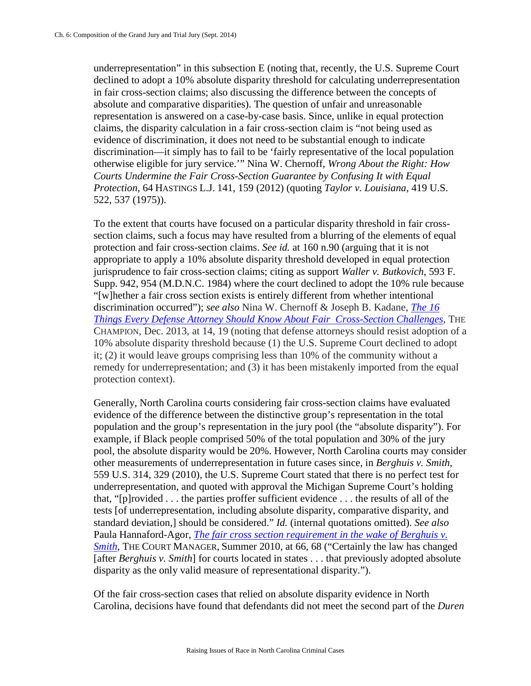underrepresentation" in this subsection E (noting that, recently, the U.S. Supreme Court declined to adopt a 10% absolute disparity threshold for calculating underrepresentation in fair cross-section claims; also discussing the difference between the concepts of absolute and comparative disparities). The question of unfair and unreasonable representation is answered on a case-by-case basis. Since, unlike in equal protection claims, the disparity calculation in a fair cross-section claim is "not being used as evidence of discrimination, it does not need to be substantial enough to indicate discrimination—it simply has to fail to be 'fairly representative of the local population otherwise eligible for jury service.'" Nina W. Chernoff, *Wrong About the Right: How Courts Undermine the Fair Cross-Section Guarantee by Confusing It with Equal Protection*, 64 HASTINGS L.J. 141, 159 (2012) (quoting *Taylor v. Louisiana*, 419 U.S. 522, 537 (1975)).

To the extent that courts have focused on a particular disparity threshold in fair crosssection claims, such a focus may have resulted from a blurring of the elements of equal protection and fair cross-section claims. *See id.* at 160 n.90 (arguing that it is not appropriate to apply a 10% absolute disparity threshold developed in equal protection jurisprudence to fair cross-section claims; citing as support *Waller v. Butkovich*, 593 F. Supp. 942, 954 (M.D.N.C. 1984) where the court declined to adopt the 10% rule because "[w]hether a fair cross section exists is entirely different from whether intentional discrimination occurred"); *see also* Nina W. Chernoff & Joseph B. Kadane, *[The 16](http://www1.cuny.edu/mu/law/files/2014/01/chernoff-kadane_december_2013_16things.pdf)  [Things Every Defense Attorney Should Know About Fair Cross-Section Challenges](http://www1.cuny.edu/mu/law/files/2014/01/chernoff-kadane_december_2013_16things.pdf)*, THE CHAMPION, Dec. 2013, at 14, 19 (noting that defense attorneys should resist adoption of a 10% absolute disparity threshold because (1) the U.S. Supreme Court declined to adopt it; (2) it would leave groups comprising less than 10% of the community without a remedy for underrepresentation; and (3) it has been mistakenly imported from the equal protection context).

Generally, North Carolina courts considering fair cross-section claims have evaluated evidence of the difference between the distinctive group's representation in the total population and the group's representation in the jury pool (the "absolute disparity"). For example, if Black people comprised 50% of the total population and 30% of the jury pool, the absolute disparity would be 20%. However, North Carolina courts may consider other measurements of underrepresentation in future cases since, in *Berghuis v. Smith*, 559 U.S. 314, 329 (2010), the U.S. Supreme Court stated that there is no perfect test for underrepresentation, and quoted with approval the Michigan Supreme Court's holding that, "[p]rovided . . . the parties proffer sufficient evidence . . . the results of all of the tests [of underrepresentation, including absolute disparity, comparative disparity, and standard deviation,] should be considered." *Id.* (internal quotations omitted). *See also*  Paula Hannaford-Agor, *[The fair cross section requirement in the wake of Berghuis v.](http://www.ncsc-jurystudies.org/What-We-Do/%7E/media/Microsites/Files/CJS/Jury%20News/The%20fair%20cross%20section%20requirement%20in%20the%20wake.ashx)  [Smith](http://www.ncsc-jurystudies.org/What-We-Do/%7E/media/Microsites/Files/CJS/Jury%20News/The%20fair%20cross%20section%20requirement%20in%20the%20wake.ashx)*, THE COURT MANAGER, Summer 2010, at 66, 68 ("Certainly the law has changed [after *Berghuis v. Smith*] for courts located in states . . . that previously adopted absolute disparity as the only valid measure of representational disparity.").

Of the fair cross-section cases that relied on absolute disparity evidence in North Carolina, decisions have found that defendants did not meet the second part of the *Duren*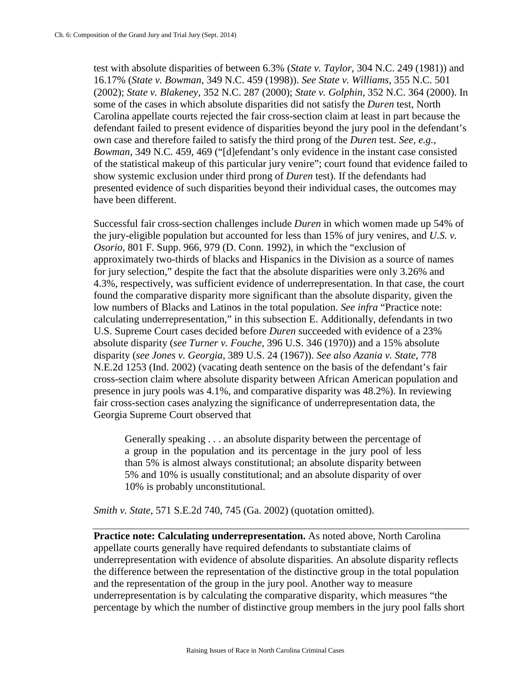test with absolute disparities of between 6.3% (*State v. Taylor*, 304 N.C. 249 (1981)) and 16.17% (*State v. Bowman*, 349 N.C. 459 (1998)). *See State v. Williams*, 355 N.C. 501 (2002); *State v. Blakeney,* 352 N.C. 287 (2000); *State v. Golphin*, 352 N.C. 364 (2000). In some of the cases in which absolute disparities did not satisfy the *Duren* test, North Carolina appellate courts rejected the fair cross-section claim at least in part because the defendant failed to present evidence of disparities beyond the jury pool in the defendant's own case and therefore failed to satisfy the third prong of the *Duren* test. *See, e.g.*, *Bowman*, 349 N.C. 459, 469 ("[d]efendant's only evidence in the instant case consisted of the statistical makeup of this particular jury venire"; court found that evidence failed to show systemic exclusion under third prong of *Duren* test). If the defendants had presented evidence of such disparities beyond their individual cases, the outcomes may have been different.

Successful fair cross-section challenges include *Duren* in which women made up 54% of the jury-eligible population but accounted for less than 15% of jury venires, and *U.S. v. Osorio*, 801 F. Supp. 966, 979 (D. Conn. 1992), in which the "exclusion of approximately two-thirds of blacks and Hispanics in the Division as a source of names for jury selection," despite the fact that the absolute disparities were only 3.26% and 4.3%, respectively, was sufficient evidence of underrepresentation. In that case, the court found the comparative disparity more significant than the absolute disparity, given the low numbers of Blacks and Latinos in the total population. *See infra* "Practice note: calculating underrepresentation," in this subsection E. Additionally, defendants in two U.S. Supreme Court cases decided before *Duren* succeeded with evidence of a 23% absolute disparity (*see Turner v. Fouche*, 396 U.S. 346 (1970)) and a 15% absolute disparity (*see Jones v. Georgia*, 389 U.S. 24 (1967)). *See also Azania v. State*, 778 N.E.2d 1253 (Ind. 2002) (vacating death sentence on the basis of the defendant's fair cross-section claim where absolute disparity between African American population and presence in jury pools was 4.1%, and comparative disparity was 48.2%). In reviewing fair cross-section cases analyzing the significance of underrepresentation data, the Georgia Supreme Court observed that

Generally speaking . . . an absolute disparity between the percentage of a group in the population and its percentage in the jury pool of less than 5% is almost always constitutional; an absolute disparity between 5% and 10% is usually constitutional; and an absolute disparity of over 10% is probably unconstitutional.

*Smith v. State*, 571 S.E.2d 740, 745 (Ga. 2002) (quotation omitted).

**Practice note: Calculating underrepresentation.** As noted above, North Carolina appellate courts generally have required defendants to substantiate claims of underrepresentation with evidence of absolute disparities. An absolute disparity reflects the difference between the representation of the distinctive group in the total population and the representation of the group in the jury pool. Another way to measure underrepresentation is by calculating the comparative disparity, which measures "the percentage by which the number of distinctive group members in the jury pool falls short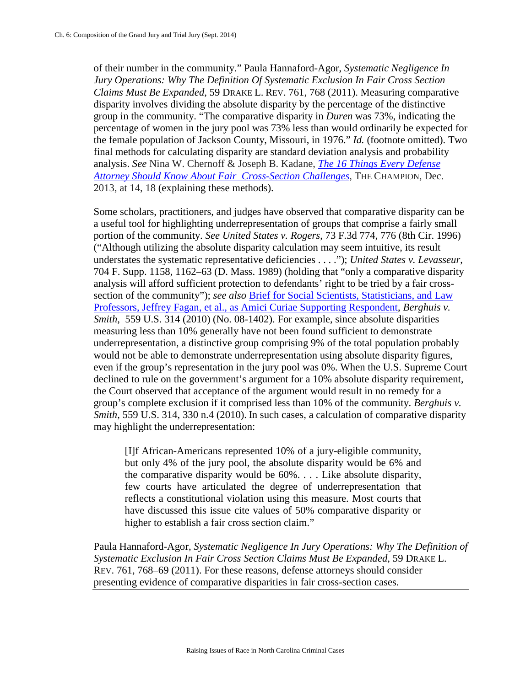of their number in the community." Paula Hannaford-Agor, *Systematic Negligence In Jury Operations: Why The Definition Of Systematic Exclusion In Fair Cross Section Claims Must Be Expanded*, 59 DRAKE L. REV. 761, 768 (2011). Measuring comparative disparity involves dividing the absolute disparity by the percentage of the distinctive group in the community. "The comparative disparity in *Duren* was 73%, indicating the percentage of women in the jury pool was 73% less than would ordinarily be expected for the female population of Jackson County, Missouri, in 1976." *Id.* (footnote omitted). Two final methods for calculating disparity are standard deviation analysis and probability analysis. *See* Nina W. Chernoff & Joseph B. Kadane, *[The 16 Things Every Defense](http://www1.cuny.edu/mu/law/files/2014/01/chernoff-kadane_december_2013_16things.pdf)  [Attorney Should Know About Fair Cross-Section Challenges](http://www1.cuny.edu/mu/law/files/2014/01/chernoff-kadane_december_2013_16things.pdf)*, THE CHAMPION, Dec. 2013, at 14, 18 (explaining these methods).

Some scholars, practitioners, and judges have observed that comparative disparity can be a useful tool for highlighting underrepresentation of groups that comprise a fairly small portion of the community. *See United States v. Rogers*, 73 F.3d 774, 776 (8th Cir. 1996) ("Although utilizing the absolute disparity calculation may seem intuitive, its result understates the systematic representative deficiencies . . . ."); *United States v. Levasseur*, 704 F. Supp. 1158, 1162–63 (D. Mass. 1989) (holding that "only a comparative disparity analysis will afford sufficient protection to defendants' right to be tried by a fair crosssection of the community"); *see also* **Brief for Social Scientists**, Statisticians, and Law [Professors, Jeffrey Fagan, et al., as Amici Curiae Supporting Respondent,](http://www.americanbar.org/content/dam/aba/publishing/preview/publiced_preview_briefs_pdfs_09_10_08_1402_RespondentAmCuSocScientistsandProfs.authcheckdam.pdf) *Berghuis v. Smith*, 559 U.S. 314 (2010) (No. 08-1402). For example, since absolute disparities measuring less than 10% generally have not been found sufficient to demonstrate underrepresentation, a distinctive group comprising 9% of the total population probably would not be able to demonstrate underrepresentation using absolute disparity figures, even if the group's representation in the jury pool was 0%. When the U.S. Supreme Court declined to rule on the government's argument for a 10% absolute disparity requirement, the Court observed that acceptance of the argument would result in no remedy for a group's complete exclusion if it comprised less than 10% of the community. *Berghuis v. Smith,* 559 U.S. 314, 330 n.4 (2010). In such cases, a calculation of comparative disparity may highlight the underrepresentation:

[I]f African-Americans represented 10% of a jury-eligible community, but only 4% of the jury pool, the absolute disparity would be 6% and the comparative disparity would be 60%. . . . Like absolute disparity, few courts have articulated the degree of underrepresentation that reflects a constitutional violation using this measure. Most courts that have discussed this issue cite values of 50% comparative disparity or higher to establish a fair cross section claim."

Paula Hannaford-Agor, *Systematic Negligence In Jury Operations: Why The Definition of Systematic Exclusion In Fair Cross Section Claims Must Be Expanded*, 59 DRAKE L. REV. 761, 768–69 (2011). For these reasons, defense attorneys should consider presenting evidence of comparative disparities in fair cross-section cases.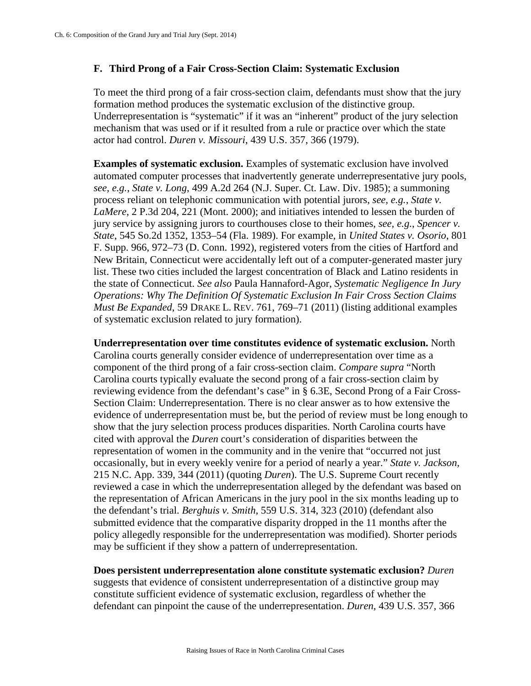### **F. Third Prong of a Fair Cross-Section Claim: Systematic Exclusion**

To meet the third prong of a fair cross-section claim, defendants must show that the jury formation method produces the systematic exclusion of the distinctive group. Underrepresentation is "systematic" if it was an "inherent" product of the jury selection mechanism that was used or if it resulted from a rule or practice over which the state actor had control. *Duren v. Missouri*, 439 U.S. 357, 366 (1979).

**Examples of systematic exclusion.** Examples of systematic exclusion have involved automated computer processes that inadvertently generate underrepresentative jury pools, *see, e.g.*, *State v. Long*, 499 A.2d 264 (N.J. Super. Ct. Law. Div. 1985); a summoning process reliant on telephonic communication with potential jurors, *see, e.g.*, *State v. LaMere*, 2 P.3d 204, 221 (Mont. 2000); and initiatives intended to lessen the burden of jury service by assigning jurors to courthouses close to their homes, *see, e.g.*, *Spencer v. State*, 545 So.2d 1352, 1353–54 (Fla. 1989). For example, in *United States v. Osorio*, 801 F. Supp. 966, 972–73 (D. Conn. 1992), registered voters from the cities of Hartford and New Britain, Connecticut were accidentally left out of a computer-generated master jury list. These two cities included the largest concentration of Black and Latino residents in the state of Connecticut. *See also* Paula Hannaford-Agor, *Systematic Negligence In Jury Operations: Why The Definition Of Systematic Exclusion In Fair Cross Section Claims Must Be Expanded*, 59 DRAKE L. REV. 761, 769–71 (2011) (listing additional examples of systematic exclusion related to jury formation).

**Underrepresentation over time constitutes evidence of systematic exclusion.** North Carolina courts generally consider evidence of underrepresentation over time as a component of the third prong of a fair cross-section claim. *Compare supra* "North Carolina courts typically evaluate the second prong of a fair cross-section claim by reviewing evidence from the defendant's case" in § 6.3E, Second Prong of a Fair Cross-Section Claim: Underrepresentation. There is no clear answer as to how extensive the evidence of underrepresentation must be, but the period of review must be long enough to show that the jury selection process produces disparities. North Carolina courts have cited with approval the *Duren* court's consideration of disparities between the representation of women in the community and in the venire that "occurred not just occasionally, but in every weekly venire for a period of nearly a year." *State v. Jackson,* 215 N.C. App. 339, 344 (2011) (quoting *Duren*). The U.S. Supreme Court recently reviewed a case in which the underrepresentation alleged by the defendant was based on the representation of African Americans in the jury pool in the six months leading up to the defendant's trial. *Berghuis v. Smith*, 559 U.S. 314, 323 (2010) (defendant also submitted evidence that the comparative disparity dropped in the 11 months after the policy allegedly responsible for the underrepresentation was modified). Shorter periods may be sufficient if they show a pattern of underrepresentation.

**Does persistent underrepresentation alone constitute systematic exclusion?** *Duren*  suggests that evidence of consistent underrepresentation of a distinctive group may constitute sufficient evidence of systematic exclusion, regardless of whether the defendant can pinpoint the cause of the underrepresentation. *Duren*, 439 U.S. 357, 366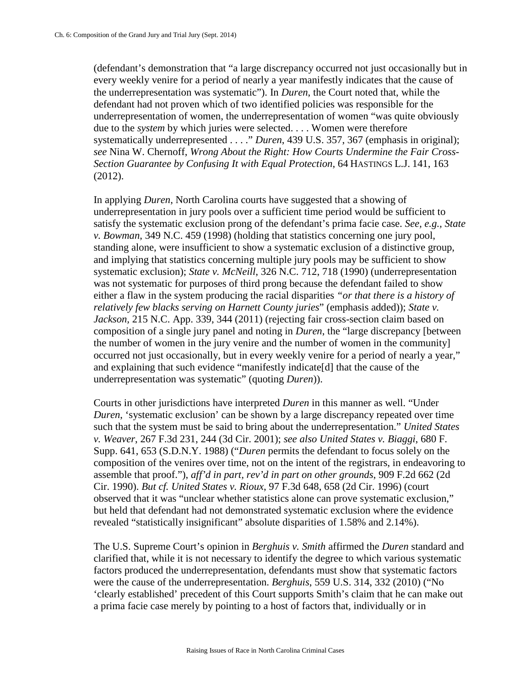(defendant's demonstration that "a large discrepancy occurred not just occasionally but in every weekly venire for a period of nearly a year manifestly indicates that the cause of the underrepresentation was systematic"). In *Duren*, the Court noted that, while the defendant had not proven which of two identified policies was responsible for the underrepresentation of women, the underrepresentation of women "was quite obviously due to the *system* by which juries were selected. . . . Women were therefore systematically underrepresented . . . ." *Duren*, 439 U.S. 357, 367 (emphasis in original); *see* Nina W. Chernoff, *Wrong About the Right: How Courts Undermine the Fair Cross-Section Guarantee by Confusing It with Equal Protection*, 64 HASTINGS L.J. 141, 163 (2012).

In applying *Duren*, North Carolina courts have suggested that a showing of underrepresentation in jury pools over a sufficient time period would be sufficient to satisfy the systematic exclusion prong of the defendant's prima facie case. *See, e.g., State v. Bowman*, 349 N.C. 459 (1998) (holding that statistics concerning one jury pool, standing alone, were insufficient to show a systematic exclusion of a distinctive group, and implying that statistics concerning multiple jury pools may be sufficient to show systematic exclusion); *State v. McNeill*, 326 N.C. 712, 718 (1990) (underrepresentation was not systematic for purposes of third prong because the defendant failed to show either a flaw in the system producing the racial disparities *"or that there is a history of relatively few blacks serving on Harnett County juries*" (emphasis added)); *State v. Jackson,* 215 N.C. App. 339, 344 (2011) (rejecting fair cross-section claim based on composition of a single jury panel and noting in *Duren*, the "large discrepancy [between the number of women in the jury venire and the number of women in the community] occurred not just occasionally, but in every weekly venire for a period of nearly a year," and explaining that such evidence "manifestly indicate[d] that the cause of the underrepresentation was systematic" (quoting *Duren*)).

Courts in other jurisdictions have interpreted *Duren* in this manner as well. "Under *Duren*, 'systematic exclusion' can be shown by a large discrepancy repeated over time such that the system must be said to bring about the underrepresentation." *United States v. Weaver*, 267 F.3d 231, 244 (3d Cir. 2001); *see also United States v. Biaggi*, 680 F. Supp. 641, 653 (S.D.N.Y. 1988) ("*Duren* permits the defendant to focus solely on the composition of the venires over time, not on the intent of the registrars, in endeavoring to assemble that proof."), *aff'd in part, rev'd in part on other grounds*, 909 F.2d 662 (2d Cir. 1990). *But cf. United States v. Rioux*, 97 F.3d 648, 658 (2d Cir. 1996) (court observed that it was "unclear whether statistics alone can prove systematic exclusion," but held that defendant had not demonstrated systematic exclusion where the evidence revealed "statistically insignificant" absolute disparities of 1.58% and 2.14%).

The U.S. Supreme Court's opinion in *Berghuis v. Smith* affirmed the *Duren* standard and clarified that, while it is not necessary to identify the degree to which various systematic factors produced the underrepresentation, defendants must show that systematic factors were the cause of the underrepresentation. *Berghuis*, 559 U.S. 314, 332 (2010) ("No 'clearly established' precedent of this Court supports Smith's claim that he can make out a prima facie case merely by pointing to a host of factors that, individually or in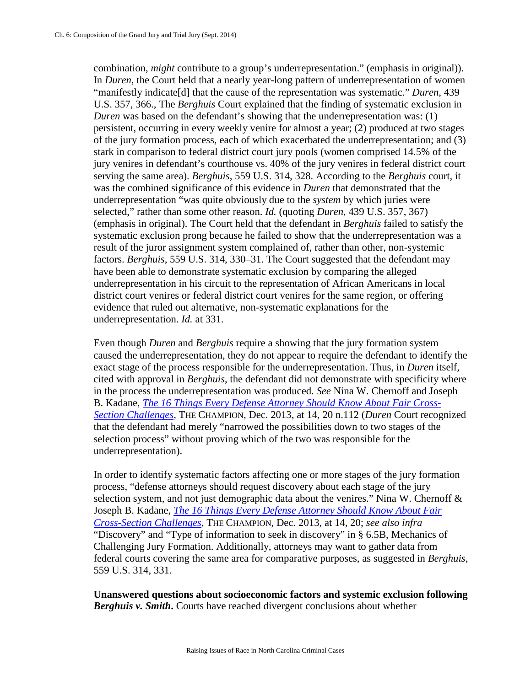combination, *might* contribute to a group's underrepresentation." (emphasis in original)). In *Duren,* the Court held that a nearly year-long pattern of underrepresentation of women "manifestly indicate[d] that the cause of the representation was systematic." *Duren*, 439 U.S. 357, 366., The *Berghuis* Court explained that the finding of systematic exclusion in *Duren* was based on the defendant's showing that the underrepresentation was: (1) persistent, occurring in every weekly venire for almost a year; (2) produced at two stages of the jury formation process, each of which exacerbated the underrepresentation; and (3) stark in comparison to federal district court jury pools (women comprised 14.5% of the jury venires in defendant's courthouse vs. 40% of the jury venires in federal district court serving the same area). *Berghuis*, 559 U.S. 314, 328. According to the *Berghuis* court, it was the combined significance of this evidence in *Duren* that demonstrated that the underrepresentation "was quite obviously due to the *system* by which juries were selected," rather than some other reason. *Id.* (quoting *Duren*, 439 U.S. 357, 367) (emphasis in original). The Court held that the defendant in *Berghuis* failed to satisfy the systematic exclusion prong because he failed to show that the underrepresentation was a result of the juror assignment system complained of, rather than other, non-systemic factors. *Berghuis*, 559 U.S. 314, 330–31. The Court suggested that the defendant may have been able to demonstrate systematic exclusion by comparing the alleged underrepresentation in his circuit to the representation of African Americans in local district court venires or federal district court venires for the same region, or offering evidence that ruled out alternative, non-systematic explanations for the underrepresentation. *Id.* at 331.

Even though *Duren* and *Berghuis* require a showing that the jury formation system caused the underrepresentation, they do not appear to require the defendant to identify the exact stage of the process responsible for the underrepresentation. Thus, in *Duren* itself*,*  cited with approval in *Berghuis*, the defendant did not demonstrate with specificity where in the process the underrepresentation was produced. *See* Nina W. Chernoff and Joseph B. Kadane, *[The 16 Things Every Defense Attorney Should Know About Fair Cross-](http://www1.cuny.edu/mu/law/files/2014/01/chernoff-kadane_december_2013_16things.pdf)[Section Challenges](http://www1.cuny.edu/mu/law/files/2014/01/chernoff-kadane_december_2013_16things.pdf)*, THE CHAMPION, Dec. 2013, at 14, 20 n.112 (*Duren* Court recognized that the defendant had merely "narrowed the possibilities down to two stages of the selection process" without proving which of the two was responsible for the underrepresentation).

In order to identify systematic factors affecting one or more stages of the jury formation process, "defense attorneys should request discovery about each stage of the jury selection system, and not just demographic data about the venires." Nina W. Chernoff & Joseph B. Kadane, *[The 16 Things Every Defense Attorney Should Know About Fair](http://www1.cuny.edu/mu/law/files/2014/01/chernoff-kadane_december_2013_16things.pdf)  [Cross-Section Challenges](http://www1.cuny.edu/mu/law/files/2014/01/chernoff-kadane_december_2013_16things.pdf)*, THE CHAMPION, Dec. 2013, at 14, 20; *see also infra*  "Discovery" and "Type of information to seek in discovery" in § 6.5B, Mechanics of Challenging Jury Formation. Additionally, attorneys may want to gather data from federal courts covering the same area for comparative purposes, as suggested in *Berghuis*, 559 U.S. 314, 331.

**Unanswered questions about socioeconomic factors and systemic exclusion following**  *Berghuis v. Smith***.** Courts have reached divergent conclusions about whether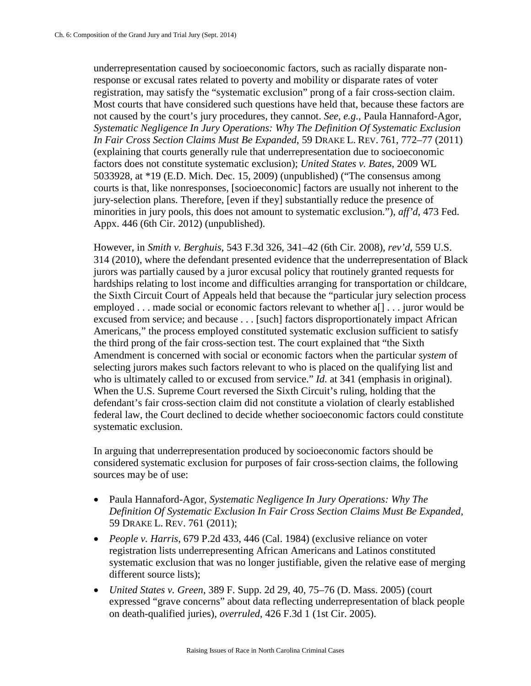underrepresentation caused by socioeconomic factors, such as racially disparate nonresponse or excusal rates related to poverty and mobility or disparate rates of voter registration, may satisfy the "systematic exclusion" prong of a fair cross-section claim. Most courts that have considered such questions have held that, because these factors are not caused by the court's jury procedures, they cannot. *See, e.g.*, Paula Hannaford-Agor, *Systematic Negligence In Jury Operations: Why The Definition Of Systematic Exclusion In Fair Cross Section Claims Must Be Expanded*, 59 DRAKE L. REV. 761, 772–77 (2011) (explaining that courts generally rule that underrepresentation due to socioeconomic factors does not constitute systematic exclusion); *United States v. Bates*, 2009 WL 5033928, at \*19 (E.D. Mich. Dec. 15, 2009) (unpublished) ("The consensus among courts is that, like nonresponses, [socioeconomic] factors are usually not inherent to the jury-selection plans. Therefore, [even if they] substantially reduce the presence of minorities in jury pools, this does not amount to systematic exclusion."), *aff'd*, 473 Fed. Appx. 446 (6th Cir. 2012) (unpublished).

However, in *Smith v. Berghuis*, 543 F.3d 326, 341–42 (6th Cir. 2008), *rev'd,* 559 U.S. 314 (2010), where the defendant presented evidence that the underrepresentation of Black jurors was partially caused by a juror excusal policy that routinely granted requests for hardships relating to lost income and difficulties arranging for transportation or childcare, the Sixth Circuit Court of Appeals held that because the "particular jury selection process employed . . . made social or economic factors relevant to whether a[] . . . juror would be excused from service; and because . . . [such] factors disproportionately impact African Americans," the process employed constituted systematic exclusion sufficient to satisfy the third prong of the fair cross-section test. The court explained that "the Sixth Amendment is concerned with social or economic factors when the particular *system* of selecting jurors makes such factors relevant to who is placed on the qualifying list and who is ultimately called to or excused from service." *Id.* at 341 (emphasis in original). When the U.S. Supreme Court reversed the Sixth Circuit's ruling, holding that the defendant's fair cross-section claim did not constitute a violation of clearly established federal law, the Court declined to decide whether socioeconomic factors could constitute systematic exclusion.

In arguing that underrepresentation produced by socioeconomic factors should be considered systematic exclusion for purposes of fair cross-section claims, the following sources may be of use:

- Paula Hannaford-Agor, *Systematic Negligence In Jury Operations: Why The Definition Of Systematic Exclusion In Fair Cross Section Claims Must Be Expanded*, 59 DRAKE L. REV. 761 (2011);
- *People v. Harris*, 679 P.2d 433, 446 (Cal. 1984) (exclusive reliance on voter registration lists underrepresenting African Americans and Latinos constituted systematic exclusion that was no longer justifiable, given the relative ease of merging different source lists);
- *United States v. Green*, 389 F. Supp. 2d 29, 40, 75–76 (D. Mass. 2005) (court expressed "grave concerns" about data reflecting underrepresentation of black people on death-qualified juries), *overruled*, 426 F.3d 1 (1st Cir. 2005).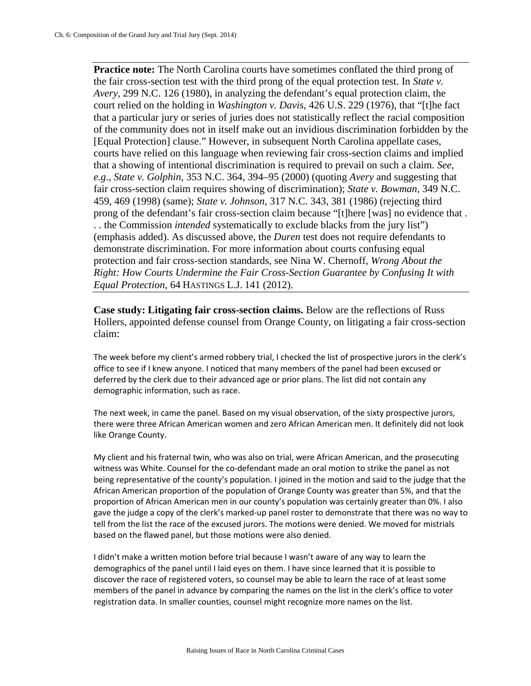**Practice note:** The North Carolina courts have sometimes conflated the third prong of the fair cross-section test with the third prong of the equal protection test. In *State v. Avery*, 299 N.C. 126 (1980), in analyzing the defendant's equal protection claim, the court relied on the holding in *Washington v. Davis,* 426 U.S. 229 (1976), that "[t]he fact that a particular jury or series of juries does not statistically reflect the racial composition of the community does not in itself make out an invidious discrimination forbidden by the [Equal Protection] clause." However, in subsequent North Carolina appellate cases, courts have relied on this language when reviewing fair cross-section claims and implied that a showing of intentional discrimination is required to prevail on such a claim. *See, e.g*., *State v. Golphin,* 353 N.C. 364, 394–95 (2000) (quoting *Avery* and suggesting that fair cross-section claim requires showing of discrimination); *State v. Bowman,* 349 N.C. 459, 469 (1998) (same); *State v. Johnson*, 317 N.C. 343, 381 (1986) (rejecting third prong of the defendant's fair cross-section claim because "[t]here [was] no evidence that . . . the Commission *intended* systematically to exclude blacks from the jury list") (emphasis added). As discussed above, the *Duren* test does not require defendants to demonstrate discrimination. For more information about courts confusing equal protection and fair cross-section standards, see Nina W. Chernoff, *Wrong About the Right: How Courts Undermine the Fair Cross-Section Guarantee by Confusing It with Equal Protection*, 64 HASTINGS L.J. 141 (2012).

**Case study: Litigating fair cross-section claims.** Below are the reflections of Russ Hollers, appointed defense counsel from Orange County, on litigating a fair cross-section claim:

The week before my client's armed robbery trial, I checked the list of prospective jurors in the clerk's office to see if I knew anyone. I noticed that many members of the panel had been excused or deferred by the clerk due to their advanced age or prior plans. The list did not contain any demographic information, such as race.

The next week, in came the panel. Based on my visual observation, of the sixty prospective jurors, there were three African American women and zero African American men. It definitely did not look like Orange County.

My client and his fraternal twin, who was also on trial, were African American, and the prosecuting witness was White. Counsel for the co-defendant made an oral motion to strike the panel as not being representative of the county's population. I joined in the motion and said to the judge that the African American proportion of the population of Orange County was greater than 5%, and that the proportion of African American men in our county's population was certainly greater than 0%. I also gave the judge a copy of the clerk's marked-up panel roster to demonstrate that there was no way to tell from the list the race of the excused jurors. The motions were denied. We moved for mistrials based on the flawed panel, but those motions were also denied.

I didn't make a written motion before trial because I wasn't aware of any way to learn the demographics of the panel until I laid eyes on them. I have since learned that it is possible to discover the race of registered voters, so counsel may be able to learn the race of at least some members of the panel in advance by comparing the names on the list in the clerk's office to voter registration data. In smaller counties, counsel might recognize more names on the list.